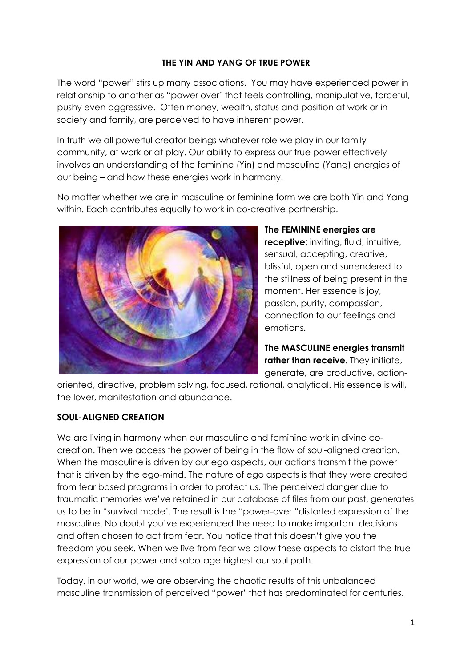#### **THE YIN AND YANG OF TRUE POWER**

The word "power" stirs up many associations. You may have experienced power in relationship to another as "power over' that feels controlling, manipulative, forceful, pushy even aggressive. Often money, wealth, status and position at work or in society and family, are perceived to have inherent power.

In truth we all powerful creator beings whatever role we play in our family community, at work or at play. Our ability to express our true power effectively involves an understanding of the feminine (Yin) and masculine (Yang) energies of our being – and how these energies work in harmony.

No matter whether we are in masculine or feminine form we are both Yin and Yang within. Each contributes equally to work in co-creative partnership.



**The FEMININE energies are receptive**; inviting, fluid, intuitive, sensual, accepting, creative, blissful, open and surrendered to the stillness of being present in the moment. Her essence is joy, passion, purity, compassion, connection to our feelings and emotions.

**The MASCULINE energies transmit rather than receive**. They initiate, generate, are productive, action-

oriented, directive, problem solving, focused, rational, analytical. His essence is will, the lover, manifestation and abundance.

#### **SOUL-ALIGNED CREATION**

We are living in harmony when our masculine and feminine work in divine cocreation. Then we access the power of being in the flow of soul-aligned creation. When the masculine is driven by our ego aspects, our actions transmit the power that is driven by the ego-mind. The nature of ego aspects is that they were created from fear based programs in order to protect us. The perceived danger due to traumatic memories we've retained in our database of files from our past, generates us to be in "survival mode'. The result is the "power-over "distorted expression of the masculine. No doubt you've experienced the need to make important decisions and often chosen to act from fear. You notice that this doesn't give you the freedom you seek. When we live from fear we allow these aspects to distort the true expression of our power and sabotage highest our soul path.

Today, in our world, we are observing the chaotic results of this unbalanced masculine transmission of perceived "power' that has predominated for centuries.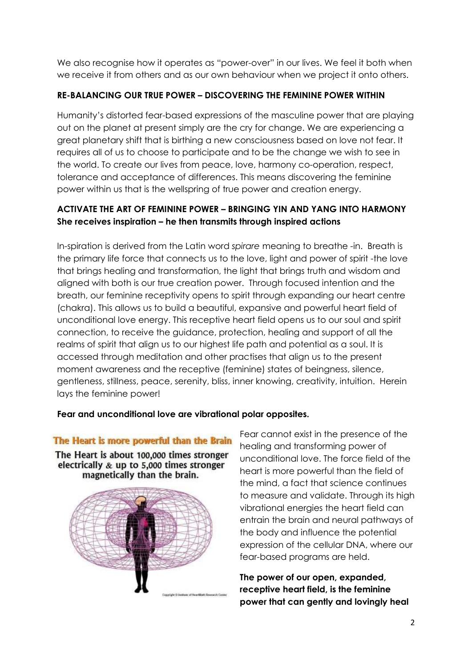We also recognise how it operates as "power-over" in our lives. We feel it both when we receive it from others and as our own behaviour when we project it onto others.

# **RE-BALANCING OUR TRUE POWER – DISCOVERING THE FEMININE POWER WITHIN**

Humanity's distorted fear-based expressions of the masculine power that are playing out on the planet at present simply are the cry for change. We are experiencing a great planetary shift that is birthing a new consciousness based on love not fear. It requires all of us to choose to participate and to be the change we wish to see in the world. To create our lives from peace, love, harmony co-operation, respect, tolerance and acceptance of differences. This means discovering the feminine power within us that is the wellspring of true power and creation energy.

# **ACTIVATE THE ART OF FEMININE POWER – BRINGING YIN AND YANG INTO HARMONY She receives inspiration – he then transmits through inspired actions**

In-spiration is derived from the Latin word *spirare* meaning to breathe -in. Breath is the primary life force that connects us to the love, light and power of spirit -the love that brings healing and transformation, the light that brings truth and wisdom and aligned with both is our true creation power. Through focused intention and the breath, our feminine receptivity opens to spirit through expanding our heart centre (chakra). This allows us to build a beautiful, expansive and powerful heart field of unconditional love energy. This receptive heart field opens us to our soul and spirit connection, to receive the guidance, protection, healing and support of all the realms of spirit that align us to our highest life path and potential as a soul. It is accessed through meditation and other practises that align us to the present moment awareness and the receptive (feminine) states of beingness, silence, gentleness, stillness, peace, serenity, bliss, inner knowing, creativity, intuition. Herein lays the feminine power!

### **Fear and unconditional love are vibrational polar opposites.**

### The Heart is more powerful than the Brain

The Heart is about 100,000 times stronger electrically & up to 5,000 times stronger magnetically than the brain.



Fear cannot exist in the presence of the healing and transforming power of unconditional love. The force field of the heart is more powerful than the field of the mind, a fact that science continues to measure and validate. Through its high vibrational energies the heart field can entrain the brain and neural pathways of the body and influence the potential expression of the cellular DNA, where our fear-based programs are held.

**The power of our open, expanded, receptive heart field, is the feminine power that can gently and lovingly heal**